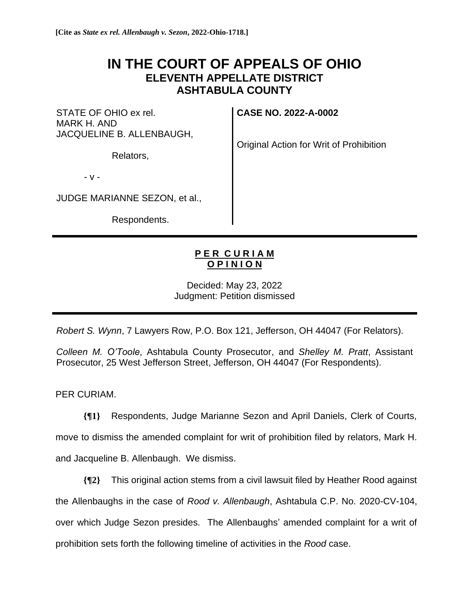## **IN THE COURT OF APPEALS OF OHIO ELEVENTH APPELLATE DISTRICT ASHTABULA COUNTY**

STATE OF OHIO ex rel. MARK H. AND JACQUELINE B. ALLENBAUGH,

Relators,

**CASE NO. 2022-A-0002**

Original Action for Writ of Prohibition

- v -

JUDGE MARIANNE SEZON, et al.,

Respondents.

## **P E R C U R I A M O P I N I O N**

Decided: May 23, 2022 Judgment: Petition dismissed

*Robert S. Wynn*, 7 Lawyers Row, P.O. Box 121, Jefferson, OH 44047 (For Relators).

*Colleen M. O'Toole*, Ashtabula County Prosecutor, and *Shelley M. Pratt*, Assistant Prosecutor, 25 West Jefferson Street, Jefferson, OH 44047 (For Respondents).

PER CURIAM.

**{¶1}** Respondents, Judge Marianne Sezon and April Daniels, Clerk of Courts, move to dismiss the amended complaint for writ of prohibition filed by relators, Mark H. and Jacqueline B. Allenbaugh. We dismiss.

**{¶2}** This original action stems from a civil lawsuit filed by Heather Rood against the Allenbaughs in the case of *Rood v. Allenbaugh*, Ashtabula C.P. No. 2020-CV-104, over which Judge Sezon presides. The Allenbaughs' amended complaint for a writ of prohibition sets forth the following timeline of activities in the *Rood* case.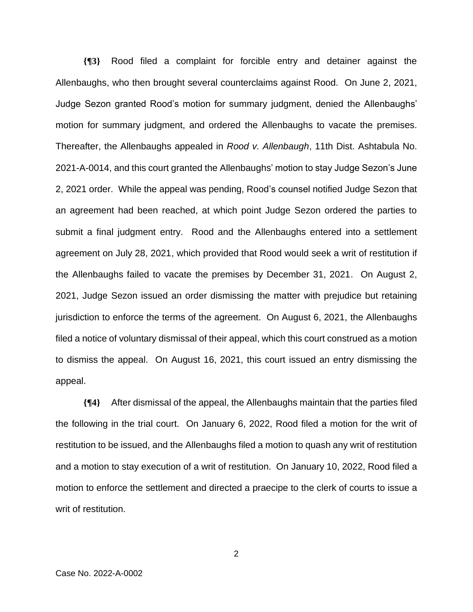**{¶3}** Rood filed a complaint for forcible entry and detainer against the Allenbaughs, who then brought several counterclaims against Rood. On June 2, 2021, Judge Sezon granted Rood's motion for summary judgment, denied the Allenbaughs' motion for summary judgment, and ordered the Allenbaughs to vacate the premises. Thereafter, the Allenbaughs appealed in *Rood v. Allenbaugh*, 11th Dist. Ashtabula No. 2021-A-0014, and this court granted the Allenbaughs' motion to stay Judge Sezon's June 2, 2021 order. While the appeal was pending, Rood's counsel notified Judge Sezon that an agreement had been reached, at which point Judge Sezon ordered the parties to submit a final judgment entry. Rood and the Allenbaughs entered into a settlement agreement on July 28, 2021, which provided that Rood would seek a writ of restitution if the Allenbaughs failed to vacate the premises by December 31, 2021. On August 2, 2021, Judge Sezon issued an order dismissing the matter with prejudice but retaining jurisdiction to enforce the terms of the agreement. On August 6, 2021, the Allenbaughs filed a notice of voluntary dismissal of their appeal, which this court construed as a motion to dismiss the appeal. On August 16, 2021, this court issued an entry dismissing the appeal.

**{¶4}** After dismissal of the appeal, the Allenbaughs maintain that the parties filed the following in the trial court. On January 6, 2022, Rood filed a motion for the writ of restitution to be issued, and the Allenbaughs filed a motion to quash any writ of restitution and a motion to stay execution of a writ of restitution. On January 10, 2022, Rood filed a motion to enforce the settlement and directed a praecipe to the clerk of courts to issue a writ of restitution.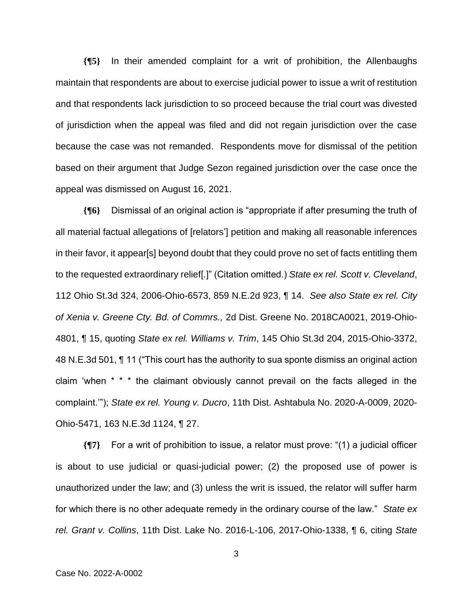**{¶5}** In their amended complaint for a writ of prohibition, the Allenbaughs maintain that respondents are about to exercise judicial power to issue a writ of restitution and that respondents lack jurisdiction to so proceed because the trial court was divested of jurisdiction when the appeal was filed and did not regain jurisdiction over the case because the case was not remanded. Respondents move for dismissal of the petition based on their argument that Judge Sezon regained jurisdiction over the case once the appeal was dismissed on August 16, 2021.

**{¶6}** Dismissal of an original action is "appropriate if after presuming the truth of all material factual allegations of [relators'] petition and making all reasonable inferences in their favor, it appear[s] beyond doubt that they could prove no set of facts entitling them to the requested extraordinary relief[.]" (Citation omitted.) *State ex rel. Scott v. Cleveland*, 112 Ohio St.3d 324, 2006-Ohio-6573, 859 N.E.2d 923, ¶ 14. *See also State ex rel. City of Xenia v. Greene Cty. Bd. of Commrs.,* 2d Dist. Greene No. 2018CA0021, 2019-Ohio-4801, ¶ 15, quoting *State ex rel. Williams v. Trim*, 145 Ohio St.3d 204, 2015-Ohio-3372, 48 N.E.3d 501, ¶ 11 ("This court has the authority to sua sponte dismiss an original action claim 'when \* \* \* the claimant obviously cannot prevail on the facts alleged in the complaint.'"); *State ex rel. Young v. Ducro*, 11th Dist. Ashtabula No. 2020-A-0009, 2020- Ohio-5471, 163 N.E.3d 1124, ¶ 27.

**{¶7}** For a writ of prohibition to issue, a relator must prove: "(1) a judicial officer is about to use judicial or quasi-judicial power; (2) the proposed use of power is unauthorized under the law; and (3) unless the writ is issued, the relator will suffer harm for which there is no other adequate remedy in the ordinary course of the law." *State ex rel. Grant v. Collins*, 11th Dist. Lake No. 2016-L-106, 2017-Ohio-1338, ¶ 6, citing *State*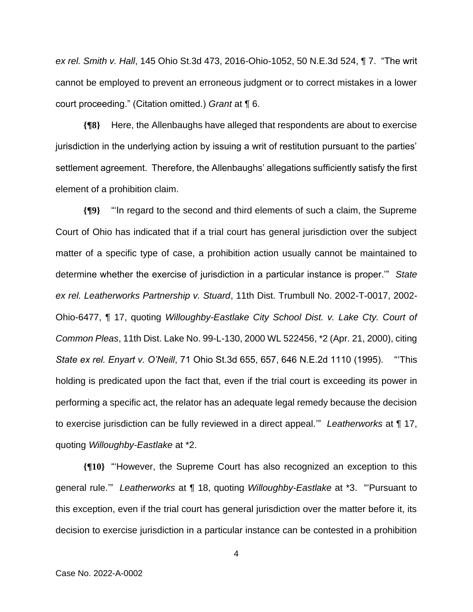*ex rel. Smith v. Hall*, 145 Ohio St.3d 473, 2016-Ohio-1052, 50 N.E.3d 524, ¶ 7. "The writ cannot be employed to prevent an erroneous judgment or to correct mistakes in a lower court proceeding." (Citation omitted.) *Grant* at ¶ 6.

**{¶8}** Here, the Allenbaughs have alleged that respondents are about to exercise jurisdiction in the underlying action by issuing a writ of restitution pursuant to the parties' settlement agreement. Therefore, the Allenbaughs' allegations sufficiently satisfy the first element of a prohibition claim.

**{¶9}** "'In regard to the second and third elements of such a claim, the Supreme Court of Ohio has indicated that if a trial court has general jurisdiction over the subject matter of a specific type of case, a prohibition action usually cannot be maintained to determine whether the exercise of jurisdiction in a particular instance is proper.'" *State ex rel. Leatherworks Partnership v. Stuard*, 11th Dist. Trumbull No. 2002-T-0017, 2002- Ohio-6477, ¶ 17, quoting *Willoughby-Eastlake City School Dist. v. Lake Cty. Court of Common Pleas*, 11th Dist. Lake No. 99-L-130, 2000 WL 522456, \*2 (Apr. 21, 2000), citing *State ex rel. Enyart v. O'Neill*, 71 Ohio St.3d 655, 657, 646 N.E.2d 1110 (1995). "'This holding is predicated upon the fact that, even if the trial court is exceeding its power in performing a specific act, the relator has an adequate legal remedy because the decision to exercise jurisdiction can be fully reviewed in a direct appeal.'" *Leatherworks* at ¶ 17, quoting *Willoughby-Eastlake* at \*2.

**{¶10}** "'However, the Supreme Court has also recognized an exception to this general rule.'" *Leatherworks* at ¶ 18, quoting *Willoughby-Eastlake* at \*3. "'Pursuant to this exception, even if the trial court has general jurisdiction over the matter before it, its decision to exercise jurisdiction in a particular instance can be contested in a prohibition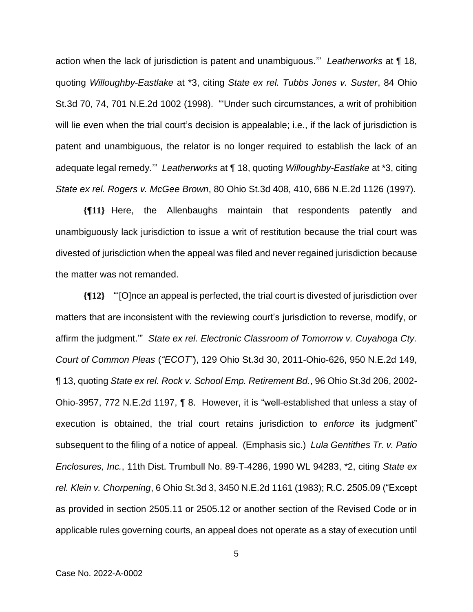action when the lack of jurisdiction is patent and unambiguous.'" *Leatherworks* at ¶ 18, quoting *Willoughby-Eastlake* at \*3, citing *State ex rel. Tubbs Jones v. Suster*, 84 Ohio St.3d 70, 74, 701 N.E.2d 1002 (1998). "'Under such circumstances, a writ of prohibition will lie even when the trial court's decision is appealable; i.e., if the lack of jurisdiction is patent and unambiguous, the relator is no longer required to establish the lack of an adequate legal remedy.'" *Leatherworks* at ¶ 18, quoting *Willoughby-Eastlake* at \*3, citing *State ex rel. Rogers v. McGee Brown*, 80 Ohio St.3d 408, 410, 686 N.E.2d 1126 (1997).

**{¶11}** Here, the Allenbaughs maintain that respondents patently and unambiguously lack jurisdiction to issue a writ of restitution because the trial court was divested of jurisdiction when the appeal was filed and never regained jurisdiction because the matter was not remanded.

**{¶12}** "'[O]nce an appeal is perfected, the trial court is divested of jurisdiction over matters that are inconsistent with the reviewing court's jurisdiction to reverse, modify, or affirm the judgment.'" *State ex rel. Electronic Classroom of Tomorrow v. Cuyahoga Cty. Court of Common Pleas* (*"ECOT"*), 129 Ohio St.3d 30, 2011-Ohio-626, 950 N.E.2d 149, ¶ 13, quoting *State ex rel. Rock v. School Emp. Retirement Bd.*, 96 Ohio St.3d 206, 2002- Ohio-3957, 772 N.E.2d 1197, ¶ 8. However, it is "well-established that unless a stay of execution is obtained, the trial court retains jurisdiction to *enforce* its judgment" subsequent to the filing of a notice of appeal. (Emphasis sic.) *Lula Gentithes Tr. v. Patio Enclosures, Inc.*, 11th Dist. Trumbull No. 89-T-4286, 1990 WL 94283, \*2, citing *State ex rel. Klein v. Chorpening*, 6 Ohio St.3d 3, 3450 N.E.2d 1161 (1983); R.C. 2505.09 ("Except as provided in section 2505.11 or 2505.12 or another section of the Revised Code or in applicable rules governing courts, an appeal does not operate as a stay of execution until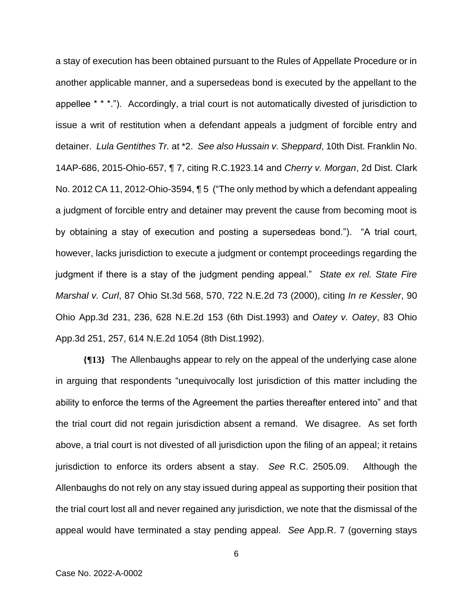a stay of execution has been obtained pursuant to the Rules of Appellate Procedure or in another applicable manner, and a supersedeas bond is executed by the appellant to the appellee \* \* \*."). Accordingly, a trial court is not automatically divested of jurisdiction to issue a writ of restitution when a defendant appeals a judgment of forcible entry and detainer. *Lula Gentithes Tr.* at \*2. *See also Hussain v. Sheppard*, 10th Dist. Franklin No. 14AP-686, 2015-Ohio-657, ¶ 7, citing R.C.1923.14 and *Cherry v. Morgan*, 2d Dist. Clark No. 2012 CA 11, 2012-Ohio-3594, ¶ 5 ("The only method by which a defendant appealing a judgment of forcible entry and detainer may prevent the cause from becoming moot is by obtaining a stay of execution and posting a supersedeas bond."). "A trial court, however, lacks jurisdiction to execute a judgment or contempt proceedings regarding the judgment if there is a stay of the judgment pending appeal." *State ex rel. State Fire Marshal v. Curl*, 87 Ohio St.3d 568, 570, 722 N.E.2d 73 (2000), citing *In re Kessler*, 90 Ohio App.3d 231, 236, 628 N.E.2d 153 (6th Dist.1993) and *Oatey v. Oatey*, 83 Ohio App.3d 251, 257, 614 N.E.2d 1054 (8th Dist.1992).

**{¶13}** The Allenbaughs appear to rely on the appeal of the underlying case alone in arguing that respondents "unequivocally lost jurisdiction of this matter including the ability to enforce the terms of the Agreement the parties thereafter entered into" and that the trial court did not regain jurisdiction absent a remand. We disagree. As set forth above, a trial court is not divested of all jurisdiction upon the filing of an appeal; it retains jurisdiction to enforce its orders absent a stay. *See* R.C. 2505.09. Although the Allenbaughs do not rely on any stay issued during appeal as supporting their position that the trial court lost all and never regained any jurisdiction, we note that the dismissal of the appeal would have terminated a stay pending appeal. *See* App.R. 7 (governing stays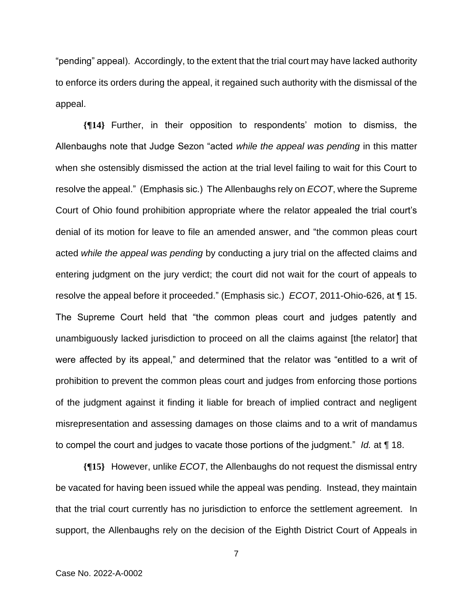"pending" appeal). Accordingly, to the extent that the trial court may have lacked authority to enforce its orders during the appeal, it regained such authority with the dismissal of the appeal.

**{¶14}** Further, in their opposition to respondents' motion to dismiss, the Allenbaughs note that Judge Sezon "acted *while the appeal was pending* in this matter when she ostensibly dismissed the action at the trial level failing to wait for this Court to resolve the appeal." (Emphasis sic.) The Allenbaughs rely on *ECOT*, where the Supreme Court of Ohio found prohibition appropriate where the relator appealed the trial court's denial of its motion for leave to file an amended answer, and "the common pleas court acted *while the appeal was pending* by conducting a jury trial on the affected claims and entering judgment on the jury verdict; the court did not wait for the court of appeals to resolve the appeal before it proceeded." (Emphasis sic.) *ECOT*, 2011-Ohio-626, at ¶ 15. The Supreme Court held that "the common pleas court and judges patently and unambiguously lacked jurisdiction to proceed on all the claims against [the relator] that were affected by its appeal," and determined that the relator was "entitled to a writ of prohibition to prevent the common pleas court and judges from enforcing those portions of the judgment against it finding it liable for breach of implied contract and negligent misrepresentation and assessing damages on those claims and to a writ of mandamus to compel the court and judges to vacate those portions of the judgment." *Id.* at ¶ 18.

**{¶15}** However, unlike *ECOT*, the Allenbaughs do not request the dismissal entry be vacated for having been issued while the appeal was pending. Instead, they maintain that the trial court currently has no jurisdiction to enforce the settlement agreement. In support, the Allenbaughs rely on the decision of the Eighth District Court of Appeals in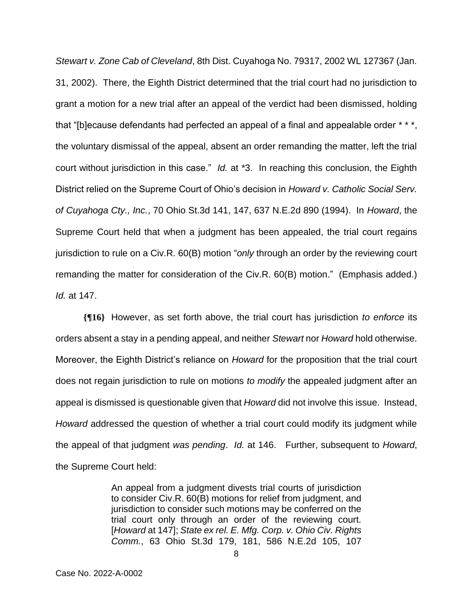*Stewart v. Zone Cab of Cleveland*, 8th Dist. Cuyahoga No. 79317, 2002 WL 127367 (Jan. 31, 2002). There, the Eighth District determined that the trial court had no jurisdiction to grant a motion for a new trial after an appeal of the verdict had been dismissed, holding that "[b]ecause defendants had perfected an appeal of a final and appealable order \* \* \*, the voluntary dismissal of the appeal, absent an order remanding the matter, left the trial court without jurisdiction in this case." *Id.* at \*3. In reaching this conclusion, the Eighth District relied on the Supreme Court of Ohio's decision in *Howard v. Catholic Social Serv. of Cuyahoga Cty., Inc.*, 70 Ohio St.3d 141, 147, 637 N.E.2d 890 (1994). In *Howard*, the Supreme Court held that when a judgment has been appealed, the trial court regains jurisdiction to rule on a Civ.R. 60(B) motion "*only* through an order by the reviewing court remanding the matter for consideration of the Civ.R. 60(B) motion." (Emphasis added.) *Id.* at 147.

**{¶16}** However, as set forth above, the trial court has jurisdiction *to enforce* its orders absent a stay in a pending appeal, and neither *Stewart* nor *Howard* hold otherwise. Moreover, the Eighth District's reliance on *Howard* for the proposition that the trial court does not regain jurisdiction to rule on motions *to modify* the appealed judgment after an appeal is dismissed is questionable given that *Howard* did not involve this issue. Instead, *Howard* addressed the question of whether a trial court could modify its judgment while the appeal of that judgment *was pending*. *Id.* at 146. Further, subsequent to *Howard*, the Supreme Court held:

> An appeal from a judgment divests trial courts of jurisdiction to consider Civ.R. 60(B) motions for relief from judgment, and jurisdiction to consider such motions may be conferred on the trial court only through an order of the reviewing court. [*Howard* at 147]; *State ex rel. E. Mfg. Corp. v. Ohio Civ. Rights Comm.*, 63 Ohio St.3d 179, 181, 586 N.E.2d 105, 107